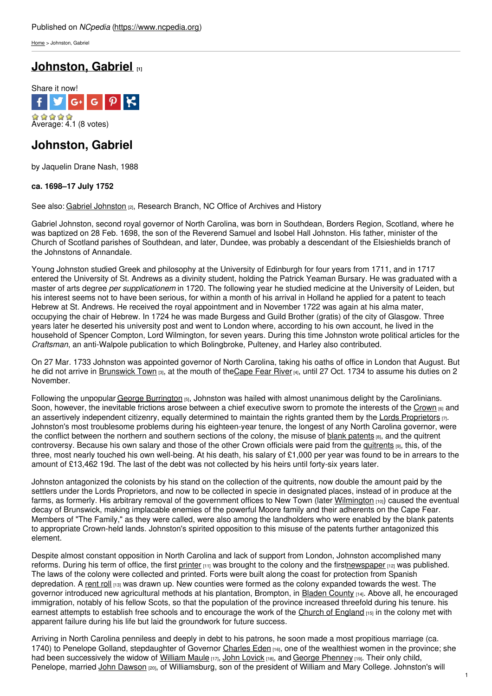[Home](https://www.ncpedia.org/) > Johnston, Gabriel

# **[Johnston,](https://www.ncpedia.org/biography/johnston-gabriel) Gabriel [1]**



## **Johnston, Gabriel**

by Jaquelin Drane Nash, 1988

### **ca. 1698–17 July 1752**

See also: Gabriel [Johnston](https://www.ncpedia.org/johnston-gabriel-research-branch-nc) [2], Research Branch, NC Office of Archives and History

Gabriel Johnston, second royal governor of North [Carolin](http://www.social9.com)a, was born in Southdean, Borders Region, Scotland, where he was baptized on 28 Feb. 1698, the son of the Reverend Samuel and Isobel Hall Johnston. His father, minister of the Church of Scotland parishes of Southdean, and later, Dundee, was probably a descendant of the Elsieshields branch of the Johnstons of Annandale.

Young Johnston studied Greek and philosophy at the University of Edinburgh for four years from 1711, and in 1717 entered the University of St. Andrews as a divinity student, holding the Patrick Yeaman Bursary. He was graduated with a master of arts degree *per supplicationem* in 1720. The following year he studied medicine at the University of Leiden, but his interest seems not to have been serious, for within a month of his arrival in Holland he applied for a patent to teach Hebrew at St. Andrews. He received the royal appointment and in November 1722 was again at his alma mater, occupying the chair of Hebrew. In 1724 he was made Burgess and Guild Brother (gratis) of the city of Glasgow. Three years later he deserted his university post and went to London where, according to his own account, he lived in the household of Spencer Compton, Lord Wilmington, for seven years. During this time Johnston wrote political articles for the *Craftsman*, an anti-Walpole publication to which Bolingbroke, Pulteney, and Harley also contributed.

On 27 Mar. 1733 Johnston was appointed governor of North Carolina, taking his oaths of office in London that August. But he did not arrive in [Brunswick](https://www.ncpedia.org/brunswick-town) Town [3], at the mouth of th[eCape](https://www.ncpedia.org/rivers/cape-fear) Fear River [4], until 27 Oct. 1734 to assume his duties on 2 November.

Following the unpopular George [Burrington](https://www.ncpedia.org/biography/burrington-george) [5], Johnston was hailed with almost unanimous delight by the Carolinians. Soon, however, the inevitable frictions arose between a chief executive sworn to promote the interests of the [Crown](https://www.ncpedia.org/crown) [6] and an assertively independent citizenry, equally determined to maintain the rights granted them by the Lords [Proprietors](https://www.ncpedia.org/lords-proprietors) [7]. Johnston's most troublesome problems during his eighteen-year tenure, the longest of any North Carolina governor, were the conflict between the northern and southern sections of the colony, the misuse of blank [patents](https://www.ncpedia.org/blank-patents) [8], and the quitrent controversy. Because his own salary and those of the other Crown officials were paid from the [quitrents](https://www.ncpedia.org/quitrents) [9], this, of the three, most nearly touched his own well-being. At his death, his salary of £1,000 per year was found to be in arrears to the amount of £13,462 19d. The last of the debt was not collected by his heirs until forty-six years later.

Johnston antagonized the colonists by his stand on the collection of the quitrents, now double the amount paid by the settlers under the Lords Proprietors, and now to be collected in specie in designated places, instead of in produce at the farms, as formerly. His arbitrary removal of the government offices to New Town (later [Wilmington](https://www.ncpedia.org/geography/wilmington) [10]) caused the eventual decay of Brunswick, making implacable enemies of the powerful Moore family and their adherents on the Cape Fear. Members of "The Family," as they were called, were also among the landholders who were enabled by the blank patents to appropriate Crown-held lands. Johnston's spirited opposition to this misuse of the patents further antagonized this element.

Despite almost constant opposition in North Carolina and lack of support from London, Johnston accomplished many reforms. During his term of office, the first [printer](https://www.ncpedia.org/printing)  $[11]$  was brought to the colony and the firs[tnewspaper](https://www.ncpedia.org/newspapers)  $[12]$  was published. The laws of the colony were collected and printed. Forts were built along the coast for protection from Spanish depredation. A [rent](https://www.ncpedia.org/rent-rolls) roll [13] was drawn up. New counties were formed as the colony expanded towards the west. The governor introduced new agricultural methods at his plantation, Brompton, in Bladen [County](https://www.ncpedia.org/bladen-county-1700s) [14]. Above all, he encouraged immigration, notably of his fellow Scots, so that the population of the province increased threefold during his tenure. his earnest attempts to establish free schools and to encourage the work of the Church of [England](https://www.ncpedia.org/church-england) [15] in the colony met with apparent failure during his life but laid the groundwork for future success.

Arriving in North Carolina penniless and deeply in debt to his patrons, he soon made a most propitious marriage (ca. 1740) to Penelope Golland, stepdaughter of Governor [Charles](https://www.ncpedia.org/biography/eden-charles) Eden [16], one of the wealthiest women in the province; she had been successively the widow of [William](https://www.ncpedia.org/biography/maule-william) Maule [17], John [Lovick](https://www.ncpedia.org/biography/lovick-john) [18], and George [Phenney](https://www.ncpedia.org/biography/phenney-george) [19]. Their only child, Penelope, married John [Dawson](https://www.ncpedia.org/biography/dawson-john-0) [20], of Williamsburg, son of the president of William and Mary College. Johnston's will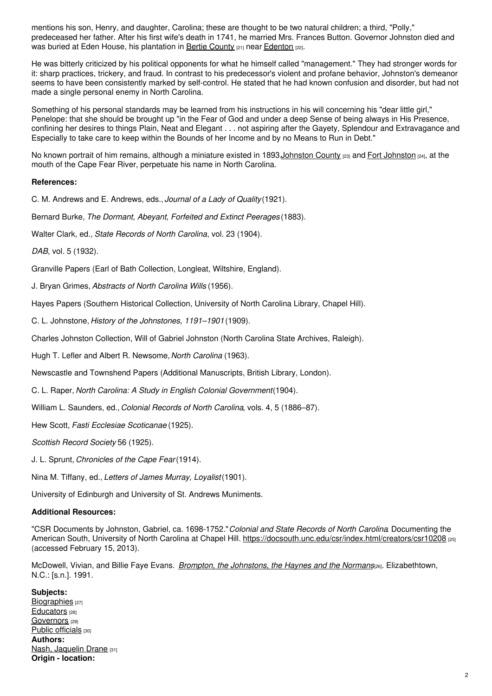mentions his son, Henry, and daughter, Carolina; these are thought to be two natural children; a third, "Polly," predeceased her father. After his first wife's death in 1741, he married Mrs. Frances Button. Governor Johnston died and was buried at Eden House, his plantation in Bertie [County](https://www.ncpedia.org/geography/bertie) [21] near [Edenton](https://www.ncpedia.org/edenton) [22].

He was bitterly criticized by his political opponents for what he himself called "management." They had stronger words for it: sharp practices, trickery, and fraud. In contrast to his predecessor's violent and profane behavior, Johnston's demeanor seems to have been consistently marked by self-control. He stated that he had known confusion and disorder, but had not made a single personal enemy in North Carolina.

Something of his personal standards may be learned from his instructions in his will concerning his "dear little girl," Penelope: that she should be brought up "in the Fear of God and under a deep Sense of being always in His Presence, confining her desires to things Plain, Neat and Elegant . . . not aspiring after the Gayety, Splendour and Extravagance and Especially to take care to keep within the Bounds of her Income and by no Means to Run in Debt."

No known portrait of him remains, although a miniature existed in 1893. [Johnston](https://www.ncpedia.org/fort-johnston) County [23] and Fort Johnston [24], at the mouth of the Cape Fear River, perpetuate his name in North Carolina.

### **References:**

C. M. Andrews and E. Andrews, eds., *Journal of a Lady of Quality*(1921).

Bernard Burke, *The Dormant, Abeyant, Forfeited and Extinct Peerages* (1883).

Walter Clark, ed., *State Records of North Carolina*, vol. 23 (1904).

*DAB*, vol. 5 (1932).

Granville Papers (Earl of Bath Collection, Longleat, Wiltshire, England).

J. Bryan Grimes, *Abstracts of North Carolina Wills* (1956).

Hayes Papers (Southern Historical Collection, University of North Carolina Library, Chapel Hill).

C. L. Johnstone, *History of the Johnstones, 1191–1901* (1909).

Charles Johnston Collection, Will of Gabriel Johnston (North Carolina State Archives, Raleigh).

Hugh T. Lefler and Albert R. Newsome,*North Carolina* (1963).

Newscastle and Townshend Papers (Additional Manuscripts, British Library, London).

C. L. Raper, *North Carolina: A Study in English Colonial Government*(1904).

William L. Saunders, ed., *Colonial Records of North Carolina*, vols. 4, 5 (1886–87).

Hew Scott, *Fasti Ecclesiae Scoticanae* (1925).

*Scottish Record Society* 56 (1925).

J. L. Sprunt, *Chronicles of the Cape Fear*(1914).

Nina M. Tiffany, ed., *Letters of James Murray, Loyalist*(1901).

University of Edinburgh and University of St. Andrews Muniments.

### **Additional Resources:**

"CSR Documents by Johnston, Gabriel, ca. 1698-1752."*Colonial and State Records of North Carolina*. Documenting the American South, University of North Carolina at Chapel Hill. <https://docsouth.unc.edu/csr/index.html/creators/csr10208> [25] (accessed February 15, 2013).

McDowell, Vivian, and Billie Faye Evans. *Brompton, the [Johnstons,](https://www.worldcat.org/oclc/28683176) the Haynes and the Normans*[26]. Elizabethtown, N.C.: [s.n.]. 1991.

#### **Subjects:** [Biographies](https://www.ncpedia.org/category/subjects/biography-term) [27] [Educators](https://www.ncpedia.org/category/subjects/educators) [28] [Governors](https://www.ncpedia.org/category/subjects/governors) [29] Public [officials](https://www.ncpedia.org/category/subjects/public-officials) [30] **Authors:** Nash, [Jaquelin](https://www.ncpedia.org/category/authors/nash-jaquelin-dran) Drane [31] **Origin - location:**